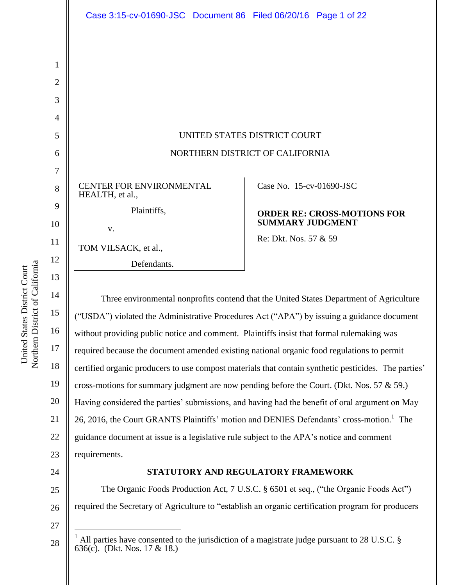|    | Case 3:15-cv-01690-JSC Document 86 Filed 06/20/16 Page 1 of 22                                       |                                                               |
|----|------------------------------------------------------------------------------------------------------|---------------------------------------------------------------|
|    |                                                                                                      |                                                               |
| 1  |                                                                                                      |                                                               |
|    |                                                                                                      |                                                               |
| 2  |                                                                                                      |                                                               |
| 3  |                                                                                                      |                                                               |
| 4  |                                                                                                      |                                                               |
| 5  | UNITED STATES DISTRICT COURT                                                                         |                                                               |
| 6  | NORTHERN DISTRICT OF CALIFORNIA                                                                      |                                                               |
| 7  |                                                                                                      |                                                               |
| 8  | CENTER FOR ENVIRONMENTAL<br>HEALTH, et al.,                                                          | Case No. 15-cv-01690-JSC                                      |
| 9  | Plaintiffs,                                                                                          | <b>ORDER RE: CROSS-MOTIONS FOR</b><br><b>SUMMARY JUDGMENT</b> |
| 10 | V.                                                                                                   |                                                               |
| 11 | TOM VILSACK, et al.,                                                                                 | Re: Dkt. Nos. 57 & 59                                         |
| 12 | Defendants.                                                                                          |                                                               |
| 13 |                                                                                                      |                                                               |
| 14 | Three environmental nonprofits contend that the United States Department of Agriculture              |                                                               |
| 15 | ("USDA") violated the Administrative Procedures Act ("APA") by issuing a guidance document           |                                                               |
| 16 | without providing public notice and comment. Plaintiffs insist that formal rulemaking was            |                                                               |
| 17 | required because the document amended existing national organic food regulations to permit           |                                                               |
| 18 | certified organic producers to use compost materials that contain synthetic pesticides. The parties' |                                                               |
| 19 | cross-motions for summary judgment are now pending before the Court. (Dkt. Nos. 57 $\&$ 59.)         |                                                               |
| 20 | Having considered the parties' submissions, and having had the benefit of oral argument on May       |                                                               |
| 21 | 26, 2016, the Court GRANTS Plaintiffs' motion and DENIES Defendants' cross-motion. <sup>1</sup> The  |                                                               |

22 23 guidance document at issue is a legislative rule subject to the APA's notice and comment requirements.

24

27

 $\overline{a}$ 

28

# **STATUTORY AND REGULATORY FRAMEWORK**

25 26 The Organic Foods Production Act, 7 U.S.C. § 6501 et seq., ("the Organic Foods Act") required the Secretary of Agriculture to "establish an organic certification program for producers

Northern District of California Northern District of California United States District Court United States District Court

<sup>&</sup>lt;sup>1</sup> All parties have consented to the jurisdiction of a magistrate judge pursuant to 28 U.S.C. § 636(c). (Dkt. Nos. 17 & 18.)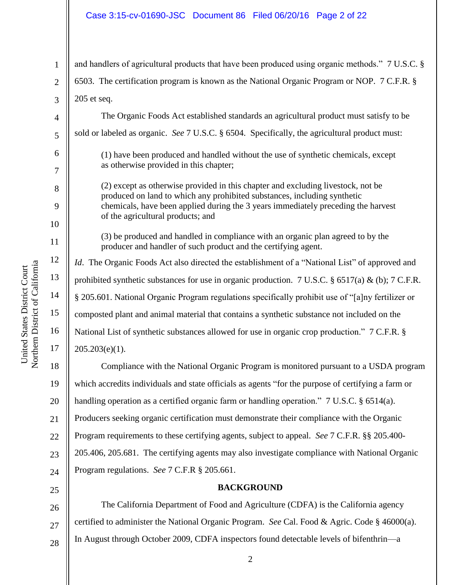#### Case 3:15-cv-01690-JSC Document 86 Filed 06/20/16 Page 2 of 22

1 2 3 4 and handlers of agricultural products that have been produced using organic methods." 7 U.S.C. § 6503. The certification program is known as the National Organic Program or NOP. 7 C.F.R. § 205 et seq. The Organic Foods Act established standards an agricultural product must satisfy to be

sold or labeled as organic. *See* 7 U.S.C. § 6504. Specifically, the agricultural product must:

(1) have been produced and handled without the use of synthetic chemicals, except as otherwise provided in this chapter;

(2) except as otherwise provided in this chapter and excluding livestock, not be produced on land to which any prohibited substances, including synthetic chemicals, have been applied during the 3 years immediately preceding the harvest of the agricultural products; and

(3) be produced and handled in compliance with an organic plan agreed to by the producer and handler of such product and the certifying agent.

*Id*. The Organic Foods Act also directed the establishment of a "National List" of approved and prohibited synthetic substances for use in organic production. 7 U.S.C. § 6517(a) & (b); 7 C.F.R. § 205.601. National Organic Program regulations specifically prohibit use of "[a]ny fertilizer or composted plant and animal material that contains a synthetic substance not included on the National List of synthetic substances allowed for use in organic crop production." 7 C.F.R. §  $205.203(e)(1)$ .

18 19 20 21 22 23  $24$ Compliance with the National Organic Program is monitored pursuant to a USDA program which accredits individuals and state officials as agents "for the purpose of certifying a farm or handling operation as a certified organic farm or handling operation." 7 U.S.C. § 6514(a). Producers seeking organic certification must demonstrate their compliance with the Organic Program requirements to these certifying agents, subject to appeal. *See* 7 C.F.R. §§ 205.400- 205.406, 205.681. The certifying agents may also investigate compliance with National Organic Program regulations. *See* 7 C.F.R § 205.661.

#### **BACKGROUND**

26 27 The California Department of Food and Agriculture (CDFA) is the California agency certified to administer the National Organic Program. *See* Cal. Food & Agric. Code § 46000(a). In August through October 2009, CDFA inspectors found detectable levels of bifenthrin—a

5

6

7

8

9

10

11

12

13

14

15

16

17

28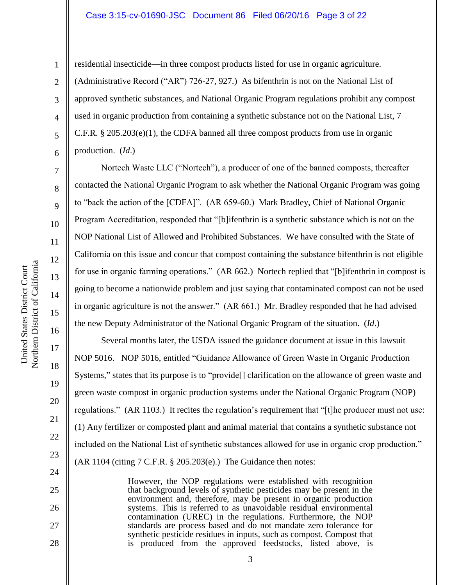#### Case 3:15-cv-01690-JSC Document 86 Filed 06/20/16 Page 3 of 22

1

2

3

4

5

6

7

8

9

14

15

16

17

18

19

20

21

22

23

24

25

26

27

28

residential insecticide—in three compost products listed for use in organic agriculture. (Administrative Record ("AR") 726-27, 927.) As bifenthrin is not on the National List of approved synthetic substances, and National Organic Program regulations prohibit any compost used in organic production from containing a synthetic substance not on the National List, 7 C.F.R. § 205.203(e)(1), the CDFA banned all three compost products from use in organic production. (*Id*.)

Nortech Waste LLC ("Nortech"), a producer of one of the banned composts, thereafter contacted the National Organic Program to ask whether the National Organic Program was going to "back the action of the [CDFA]". (AR 659-60.) Mark Bradley, Chief of National Organic Program Accreditation, responded that "[b]ifenthrin is a synthetic substance which is not on the NOP National List of Allowed and Prohibited Substances. We have consulted with the State of California on this issue and concur that compost containing the substance bifenthrin is not eligible for use in organic farming operations." (AR 662.) Nortech replied that "[b]ifenthrin in compost is going to become a nationwide problem and just saying that contaminated compost can not be used in organic agriculture is not the answer." (AR 661.) Mr. Bradley responded that he had advised the new Deputy Administrator of the National Organic Program of the situation. (*Id*.)

Several months later, the USDA issued the guidance document at issue in this lawsuit— NOP 5016. NOP 5016, entitled "Guidance Allowance of Green Waste in Organic Production Systems," states that its purpose is to "provide<sup>[]</sup> clarification on the allowance of green waste and green waste compost in organic production systems under the National Organic Program (NOP) regulations." (AR 1103.) It recites the regulation's requirement that "[t]he producer must not use: (1) Any fertilizer or composted plant and animal material that contains a synthetic substance not included on the National List of synthetic substances allowed for use in organic crop production." (AR 1104 (citing 7 C.F.R. § 205.203(e).) The Guidance then notes:

> However, the NOP regulations were established with recognition that background levels of synthetic pesticides may be present in the environment and, therefore, may be present in organic production systems. This is referred to as unavoidable residual environmental contamination (UREC) in the regulations. Furthermore, the NOP standards are process based and do not mandate zero tolerance for synthetic pesticide residues in inputs, such as compost. Compost that is produced from the approved feedstocks, listed above, is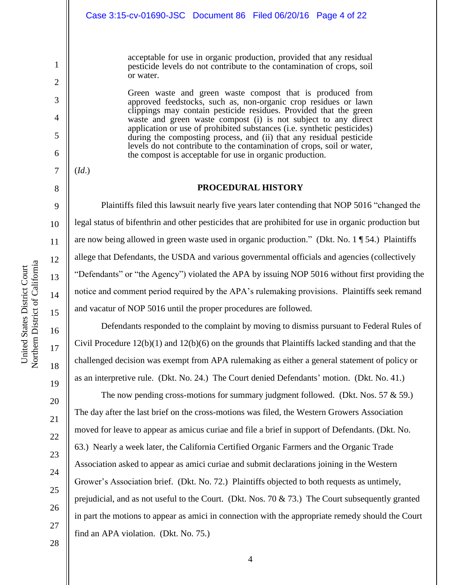acceptable for use in organic production, provided that any residual pesticide levels do not contribute to the contamination of crops, soil or water.

Green waste and green waste compost that is produced from approved feedstocks, such as, non-organic crop residues or lawn clippings may contain pesticide residues. Provided that the green waste and green waste compost (i) is not subject to any direct application or use of prohibited substances (i.e. synthetic pesticides) during the composting process, and (ii) that any residual pesticide levels do not contribute to the contamination of crops, soil or water, the compost is acceptable for use in organic production.

#### **PROCEDURAL HISTORY**

Plaintiffs filed this lawsuit nearly five years later contending that NOP 5016 "changed the legal status of bifenthrin and other pesticides that are prohibited for use in organic production but are now being allowed in green waste used in organic production." (Dkt. No. 1 ¶ 54.) Plaintiffs allege that Defendants, the USDA and various governmental officials and agencies (collectively "Defendants" or "the Agency") violated the APA by issuing NOP 5016 without first providing the notice and comment period required by the APA's rulemaking provisions. Plaintiffs seek remand and vacatur of NOP 5016 until the proper procedures are followed.

Defendants responded to the complaint by moving to dismiss pursuant to Federal Rules of Civil Procedure 12(b)(1) and 12(b)(6) on the grounds that Plaintiffs lacked standing and that the challenged decision was exempt from APA rulemaking as either a general statement of policy or as an interpretive rule. (Dkt. No. 24.) The Court denied Defendants' motion. (Dkt. No. 41.)

The now pending cross-motions for summary judgment followed. (Dkt. Nos.  $57 \& 59$ .) The day after the last brief on the cross-motions was filed, the Western Growers Association moved for leave to appear as amicus curiae and file a brief in support of Defendants. (Dkt. No. 63.) Nearly a week later, the California Certified Organic Farmers and the Organic Trade Association asked to appear as amici curiae and submit declarations joining in the Western Grower's Association brief. (Dkt. No. 72.) Plaintiffs objected to both requests as untimely, prejudicial, and as not useful to the Court. (Dkt. Nos. 70 & 73.) The Court subsequently granted in part the motions to appear as amici in connection with the appropriate remedy should the Court find an APA violation. (Dkt. No. 75.)

United States District Court

United States District Court

1

2

3

4

5

6

7

(*Id*.)

8

9

10

11

12

13

14

15

16

17

18

19

20

21

22

23

24

25

26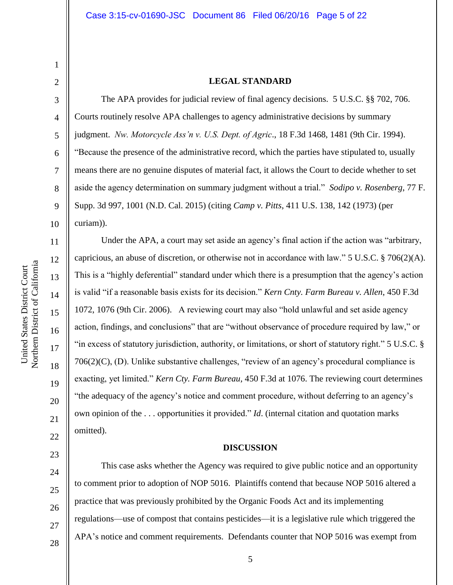# 2

3

4

5

6

7

8

9

10

11

12

13

14

15

16

17

18

19

20

21

22

23

24

25

26

27

28

1

#### **LEGAL STANDARD**

The APA provides for judicial review of final agency decisions. 5 U.S.C. §§ 702, 706. Courts routinely resolve APA challenges to agency administrative decisions by summary judgment. *Nw. Motorcycle Ass'n v. U.S. Dept. of Agric*., 18 F.3d 1468, 1481 (9th Cir. 1994). "Because the presence of the administrative record, which the parties have stipulated to, usually means there are no genuine disputes of material fact, it allows the Court to decide whether to set aside the agency determination on summary judgment without a trial." *Sodipo v. Rosenberg*, 77 F. Supp. 3d 997, 1001 (N.D. Cal. 2015) (citing *Camp v. Pitts*, 411 U.S. 138, 142 (1973) (per curiam)).

Under the APA, a court may set aside an agency's final action if the action was "arbitrary, capricious, an abuse of discretion, or otherwise not in accordance with law." 5 U.S.C. § 706(2)(A). This is a "highly deferential" standard under which there is a presumption that the agency's action is valid "if a reasonable basis exists for its decision." *Kern Cnty. Farm Bureau v. Allen*, 450 F.3d 1072, 1076 (9th Cir. 2006). A reviewing court may also "hold unlawful and set aside agency action, findings, and conclusions" that are "without observance of procedure required by law," or "in excess of statutory jurisdiction, authority, or limitations, or short of statutory right." 5 U.S.C. § 706(2)(C), (D). Unlike substantive challenges, "review of an agency's procedural compliance is exacting, yet limited." *Kern Cty. Farm Bureau*, 450 F.3d at 1076. The reviewing court determines "the adequacy of the agency's notice and comment procedure, without deferring to an agency's own opinion of the . . . opportunities it provided." *Id*. (internal citation and quotation marks omitted).

#### **DISCUSSION**

This case asks whether the Agency was required to give public notice and an opportunity to comment prior to adoption of NOP 5016. Plaintiffs contend that because NOP 5016 altered a practice that was previously prohibited by the Organic Foods Act and its implementing regulations—use of compost that contains pesticides—it is a legislative rule which triggered the APA's notice and comment requirements. Defendants counter that NOP 5016 was exempt from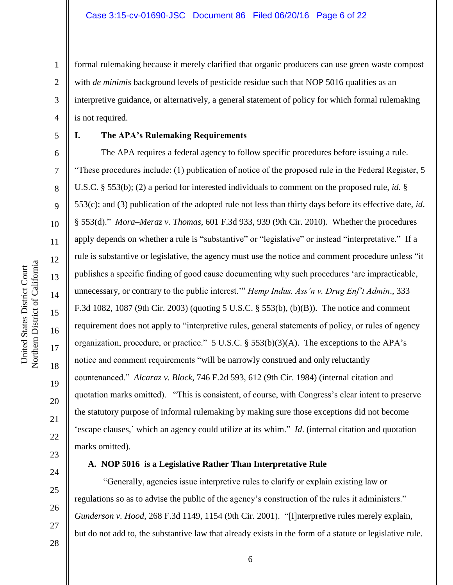2 4 formal rulemaking because it merely clarified that organic producers can use green waste compost with *de minimis* background levels of pesticide residue such that NOP 5016 qualifies as an interpretive guidance, or alternatively, a general statement of policy for which formal rulemaking is not required.

5

6

7

8

9

10

11

12

13

14

15

16

17

18

19

20

21

22

23

24

25

26

27

1

3

#### **I. The APA's Rulemaking Requirements**

The APA requires a federal agency to follow specific procedures before issuing a rule. "These procedures include: (1) publication of notice of the proposed rule in the Federal Register, 5 U.S.C. § 553(b); (2) a period for interested individuals to comment on the proposed rule, *id.* § 553(c); and (3) publication of the adopted rule not less than thirty days before its effective date, *id*. § 553(d)." *Mora–Meraz v. Thomas*, 601 F.3d 933, 939 (9th Cir. 2010). Whether the procedures apply depends on whether a rule is "substantive" or "legislative" or instead "interpretative." If a rule is substantive or legislative, the agency must use the notice and comment procedure unless "it publishes a specific finding of good cause documenting why such procedures 'are impracticable, unnecessary, or contrary to the public interest.'" *Hemp Indus. Ass'n v. Drug Enf't Admin*., 333 F.3d 1082, 1087 (9th Cir. 2003) (quoting 5 U.S.C. § 553(b), (b)(B)). The notice and comment requirement does not apply to "interpretive rules, general statements of policy, or rules of agency organization, procedure, or practice." 5 U.S.C. § 553(b)(3)(A). The exceptions to the APA's notice and comment requirements "will be narrowly construed and only reluctantly countenanced." *Alcaraz v. Block*, 746 F.2d 593, 612 (9th Cir. 1984) (internal citation and quotation marks omitted). "This is consistent, of course, with Congress's clear intent to preserve the statutory purpose of informal rulemaking by making sure those exceptions did not become 'escape clauses,' which an agency could utilize at its whim." *Id*. (internal citation and quotation marks omitted).

#### **A. NOP 5016 is a Legislative Rather Than Interpretative Rule**

"Generally, agencies issue interpretive rules to clarify or explain existing law or regulations so as to advise the public of the agency's construction of the rules it administers." *Gunderson v. Hood*, 268 F.3d 1149, 1154 (9th Cir. 2001). "[I]nterpretive rules merely explain, but do not add to, the substantive law that already exists in the form of a statute or legislative rule.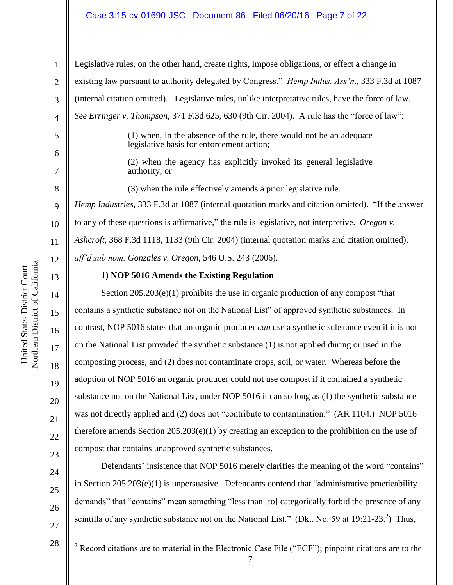#### Case 3:15-cv-01690-JSC Document 86 Filed 06/20/16 Page 7 of 22

14

15

16

17

18

19

20

21

22

23

24

25

26

27

1 2 3 4 5 6 7 8 9 10 11 12 13 Legislative rules, on the other hand, create rights, impose obligations, or effect a change in existing law pursuant to authority delegated by Congress." *Hemp Indus. Ass'n*., 333 F.3d at 1087 (internal citation omitted). Legislative rules, unlike interpretative rules, have the force of law. *See Erringer v. Thompson*, 371 F.3d 625, 630 (9th Cir. 2004). A rule has the "force of law": (1) when, in the absence of the rule, there would not be an adequate legislative basis for enforcement action; (2) when the agency has explicitly invoked its general legislative authority; or (3) when the rule effectively amends a prior legislative rule. *Hemp Industries*, 333 F.3d at 1087 (internal quotation marks and citation omitted). "If the answer to any of these questions is affirmative," the rule is legislative, not interpretive. *Oregon v. Ashcroft*, 368 F.3d 1118, 1133 (9th Cir. 2004) (internal quotation marks and citation omitted), *aff'd sub nom. Gonzales v. Oregon*, 546 U.S. 243 (2006). **1) NOP 5016 Amends the Existing Regulation**

Section  $205.203(e)(1)$  prohibits the use in organic production of any compost "that contains a synthetic substance not on the National List" of approved synthetic substances. In contrast, NOP 5016 states that an organic producer *can* use a synthetic substance even if it is not on the National List provided the synthetic substance (1) is not applied during or used in the composting process, and (2) does not contaminate crops, soil, or water. Whereas before the adoption of NOP 5016 an organic producer could not use compost if it contained a synthetic substance not on the National List, under NOP 5016 it can so long as (1) the synthetic substance was not directly applied and (2) does not "contribute to contamination." (AR 1104.) NOP 5016 therefore amends Section 205.203(e)(1) by creating an exception to the prohibition on the use of compost that contains unapproved synthetic substances.

Defendants' insistence that NOP 5016 merely clarifies the meaning of the word "contains" in Section 205.203(e)(1) is unpersuasive. Defendants contend that "administrative practicability demands" that "contains" mean something "less than [to] categorically forbid the presence of any scintilla of any synthetic substance not on the National List." (Dkt. No. 59 at 19:21-23.<sup>2</sup>) Thus,

 $\overline{a}$ 

<sup>28</sup>

<sup>&</sup>lt;sup>2</sup> Record citations are to material in the Electronic Case File ("ECF"); pinpoint citations are to the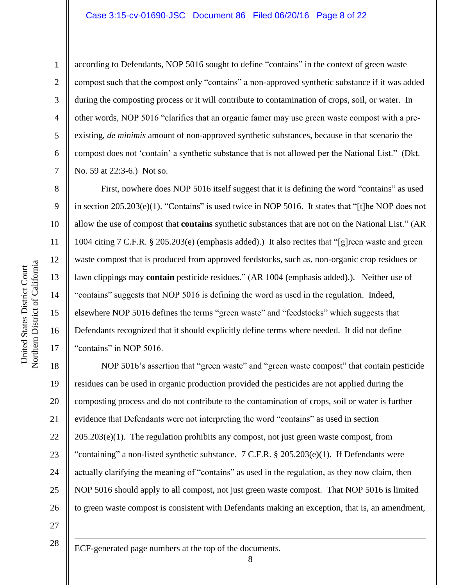#### Case 3:15-cv-01690-JSC Document 86 Filed 06/20/16 Page 8 of 22

1

2

3

4

5

6

7

8

9

10

11

12

13

14

15

16

17

according to Defendants, NOP 5016 sought to define "contains" in the context of green waste compost such that the compost only "contains" a non-approved synthetic substance if it was added during the composting process or it will contribute to contamination of crops, soil, or water. In other words, NOP 5016 "clarifies that an organic famer may use green waste compost with a preexisting, *de minimis* amount of non-approved synthetic substances, because in that scenario the compost does not 'contain' a synthetic substance that is not allowed per the National List." (Dkt. No. 59 at 22:3-6.) Not so.

First, nowhere does NOP 5016 itself suggest that it is defining the word "contains" as used in section 205.203(e)(1). "Contains" is used twice in NOP 5016. It states that "[t]he NOP does not allow the use of compost that **contains** synthetic substances that are not on the National List." (AR 1004 citing 7 C.F.R. § 205.203(e) (emphasis added).) It also recites that "[g]reen waste and green waste compost that is produced from approved feedstocks, such as, non-organic crop residues or lawn clippings may **contain** pesticide residues." (AR 1004 (emphasis added).). Neither use of "contains" suggests that NOP 5016 is defining the word as used in the regulation. Indeed, elsewhere NOP 5016 defines the terms "green waste" and "feedstocks" which suggests that Defendants recognized that it should explicitly define terms where needed. It did not define "contains" in NOP 5016.

18 19 20 21 22 23 24 25 26 NOP 5016's assertion that "green waste" and "green waste compost" that contain pesticide residues can be used in organic production provided the pesticides are not applied during the composting process and do not contribute to the contamination of crops, soil or water is further evidence that Defendants were not interpreting the word "contains" as used in section  $205.203(e)(1)$ . The regulation prohibits any compost, not just green waste compost, from "containing" a non-listed synthetic substance.  $7 \text{ C.F.R.}$  §  $205.203(e)(1)$ . If Defendants were actually clarifying the meaning of "contains" as used in the regulation, as they now claim, then NOP 5016 should apply to all compost, not just green waste compost. That NOP 5016 is limited to green waste compost is consistent with Defendants making an exception, that is, an amendment,

27

28

1

ECF-generated page numbers at the top of the documents.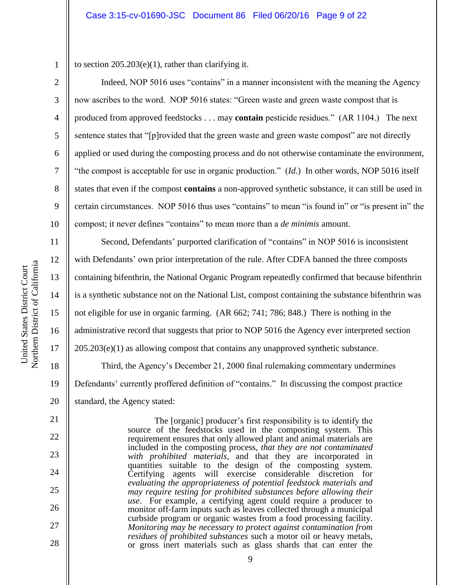1 2

3

4

5

6

7

8

9

10

11

12

13

14

15

16

17

18

19

20

21

22

23

24

25

26

27

28

to section  $205.203(e)(1)$ , rather than clarifying it.

Indeed, NOP 5016 uses "contains" in a manner inconsistent with the meaning the Agency now ascribes to the word. NOP 5016 states: "Green waste and green waste compost that is produced from approved feedstocks . . . may **contain** pesticide residues." (AR 1104.) The next sentence states that "[p]rovided that the green waste and green waste compost" are not directly applied or used during the composting process and do not otherwise contaminate the environment, "the compost is acceptable for use in organic production." (*Id.*) In other words, NOP 5016 itself states that even if the compost **contains** a non-approved synthetic substance, it can still be used in certain circumstances. NOP 5016 thus uses "contains" to mean "is found in" or "is present in" the compost; it never defines "contains" to mean more than a *de minimis* amount.

Second, Defendants' purported clarification of "contains" in NOP 5016 is inconsistent with Defendants' own prior interpretation of the rule. After CDFA banned the three composts containing bifenthrin, the National Organic Program repeatedly confirmed that because bifenthrin is a synthetic substance not on the National List, compost containing the substance bifenthrin was not eligible for use in organic farming. (AR 662; 741; 786; 848.) There is nothing in the administrative record that suggests that prior to NOP 5016 the Agency ever interpreted section 205.203(e)(1) as allowing compost that contains any unapproved synthetic substance. Third, the Agency's December 21, 2000 final rulemaking commentary undermines Defendants' currently proffered definition of "contains." In discussing the compost practice standard, the Agency stated:

> The [organic] producer's first responsibility is to identify the source of the feedstocks used in the composting system. This requirement ensures that only allowed plant and animal materials are included in the composting process, *that they are not contaminated with prohibited materials*, and that they are incorporated in quantities suitable to the design of the composting system. Certifying agents will exercise considerable discretion for *evaluating the appropriateness of potential feedstock materials and may require testing for prohibited substances before allowing their use*. For example, a certifying agent could require a producer to monitor off-farm inputs such as leaves collected through a municipal curbside program or organic wastes from a food processing facility. *Monitoring may be necessary to protect against contamination from residues of prohibited substances* such a motor oil or heavy metals, or gross inert materials such as glass shards that can enter the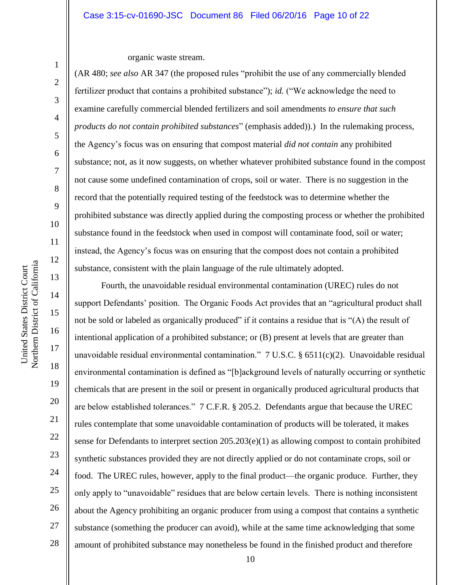organic waste stream.

(AR 480; *see also* AR 347 (the proposed rules "prohibit the use of any commercially blended fertilizer product that contains a prohibited substance"); *id.* ("We acknowledge the need to examine carefully commercial blended fertilizers and soil amendments *to ensure that such products do not contain prohibited substances*" (emphasis added)).) In the rulemaking process, the Agency's focus was on ensuring that compost material *did not contain* any prohibited substance; not, as it now suggests, on whether whatever prohibited substance found in the compost not cause some undefined contamination of crops, soil or water. There is no suggestion in the record that the potentially required testing of the feedstock was to determine whether the prohibited substance was directly applied during the composting process or whether the prohibited substance found in the feedstock when used in compost will contaminate food, soil or water; instead, the Agency's focus was on ensuring that the compost does not contain a prohibited substance, consistent with the plain language of the rule ultimately adopted.

Fourth, the unavoidable residual environmental contamination (UREC) rules do not support Defendants' position. The Organic Foods Act provides that an "agricultural product shall not be sold or labeled as organically produced" if it contains a residue that is "(A) the result of intentional application of a prohibited substance; or (B) present at levels that are greater than unavoidable residual environmental contamination." 7 U.S.C. § 6511(c)(2). Unavoidable residual environmental contamination is defined as "[b]ackground levels of naturally occurring or synthetic chemicals that are present in the soil or present in organically produced agricultural products that are below established tolerances." 7 C.F.R. § 205.2. Defendants argue that because the UREC rules contemplate that some unavoidable contamination of products will be tolerated, it makes sense for Defendants to interpret section 205.203(e)(1) as allowing compost to contain prohibited synthetic substances provided they are not directly applied or do not contaminate crops, soil or food. The UREC rules, however, apply to the final product—the organic produce. Further, they only apply to "unavoidable" residues that are below certain levels. There is nothing inconsistent about the Agency prohibiting an organic producer from using a compost that contains a synthetic substance (something the producer can avoid), while at the same time acknowledging that some amount of prohibited substance may nonetheless be found in the finished product and therefore

1

2

3

4

5

6

7

8

9

10

11

12

13

14

15

16

17

18

19

20

21

22

23

24

25

26

27

28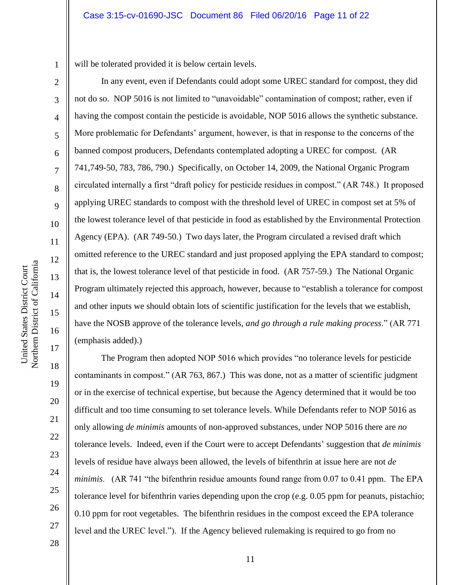1 will be tolerated provided it is below certain levels.

In any event, even if Defendants could adopt some UREC standard for compost, they did not do so. NOP 5016 is not limited to "unavoidable" contamination of compost; rather, even if having the compost contain the pesticide is avoidable, NOP 5016 allows the synthetic substance. More problematic for Defendants' argument, however, is that in response to the concerns of the banned compost producers, Defendants contemplated adopting a UREC for compost. (AR 741,749-50, 783, 786, 790.) Specifically, on October 14, 2009, the National Organic Program circulated internally a first "draft policy for pesticide residues in compost." (AR 748.) It proposed applying UREC standards to compost with the threshold level of UREC in compost set at 5% of the lowest tolerance level of that pesticide in food as established by the Environmental Protection Agency (EPA). (AR 749-50.) Two days later, the Program circulated a revised draft which omitted reference to the UREC standard and just proposed applying the EPA standard to compost; that is, the lowest tolerance level of that pesticide in food. (AR 757-59.) The National Organic Program ultimately rejected this approach, however, because to "establish a tolerance for compost and other inputs we should obtain lots of scientific justification for the levels that we establish, have the NOSB approve of the tolerance levels, *and go through a rule making process*." (AR 771 (emphasis added).)

The Program then adopted NOP 5016 which provides "no tolerance levels for pesticide contaminants in compost." (AR 763, 867.) This was done, not as a matter of scientific judgment or in the exercise of technical expertise, but because the Agency determined that it would be too difficult and too time consuming to set tolerance levels. While Defendants refer to NOP 5016 as only allowing *de minimis* amounts of non-approved substances, under NOP 5016 there are *no* tolerance levels. Indeed, even if the Court were to accept Defendants' suggestion that *de minimis* levels of residue have always been allowed, the levels of bifenthrin at issue here are not *de minimis.* (AR 741 "the bifenthrin residue amounts found range from 0.07 to 0.41 ppm. The EPA tolerance level for bifenthrin varies depending upon the crop (e.g. 0.05 ppm for peanuts, pistachio; 0.10 ppm for root vegetables. The bifenthrin residues in the compost exceed the EPA tolerance level and the UREC level."). If the Agency believed rulemaking is required to go from no

2

3

4

5

6

7

8

9

10

11

12

13

14

15

16

17

18

19

20

21

22

23

24

25

26

27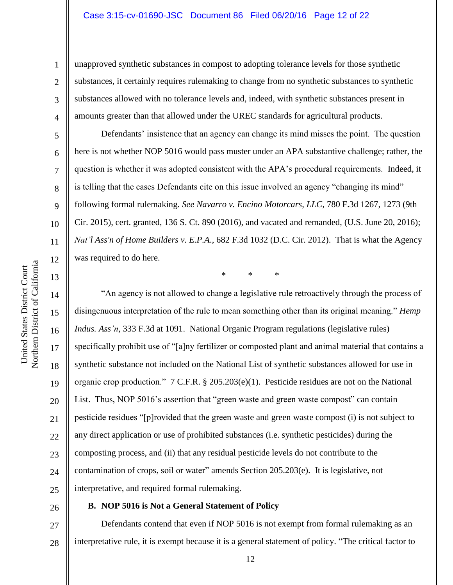unapproved synthetic substances in compost to adopting tolerance levels for those synthetic substances, it certainly requires rulemaking to change from no synthetic substances to synthetic substances allowed with no tolerance levels and, indeed, with synthetic substances present in amounts greater than that allowed under the UREC standards for agricultural products.

Defendants' insistence that an agency can change its mind misses the point. The question here is not whether NOP 5016 would pass muster under an APA substantive challenge; rather, the question is whether it was adopted consistent with the APA's procedural requirements. Indeed, it is telling that the cases Defendants cite on this issue involved an agency "changing its mind" following formal rulemaking. *See Navarro v. Encino Motorcars, LLC*, 780 F.3d 1267, 1273 (9th Cir. 2015), cert. granted, 136 S. Ct. 890 (2016), and vacated and remanded, (U.S. June 20, 2016); *Nat'l Ass'n of Home Builders v. E.P.A*., 682 F.3d 1032 (D.C. Cir. 2012). That is what the Agency was required to do here.

\* \* \*

"An agency is not allowed to change a legislative rule retroactively through the process of disingenuous interpretation of the rule to mean something other than its original meaning." *Hemp Indus. Ass'n*, 333 F.3d at 1091. National Organic Program regulations (legislative rules) specifically prohibit use of "[a]ny fertilizer or composted plant and animal material that contains a synthetic substance not included on the National List of synthetic substances allowed for use in organic crop production." 7 C.F.R. § 205.203(e)(1). Pesticide residues are not on the National List. Thus, NOP 5016's assertion that "green waste and green waste compost" can contain pesticide residues "[p]rovided that the green waste and green waste compost (i) is not subject to any direct application or use of prohibited substances (i.e. synthetic pesticides) during the composting process, and (ii) that any residual pesticide levels do not contribute to the contamination of crops, soil or water" amends Section 205.203(e). It is legislative, not interpretative, and required formal rulemaking.

### 26

#### **B. NOP 5016 is Not a General Statement of Policy**

27 28 Defendants contend that even if NOP 5016 is not exempt from formal rulemaking as an interpretative rule, it is exempt because it is a general statement of policy. "The critical factor to

1

2

3

4

5

6

7

8

9

10

11

12

13

14

15

16

17

18

19

20

21

22

23

24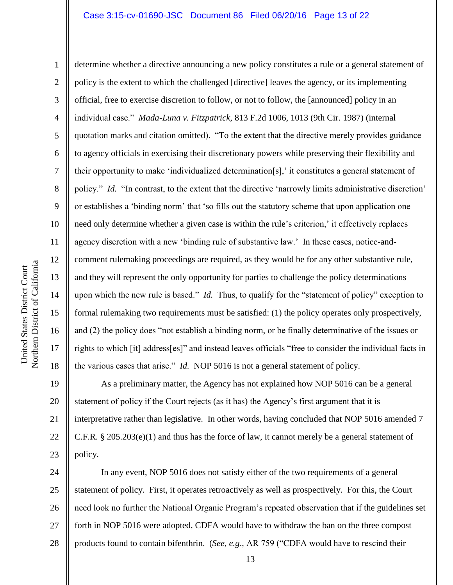Northern District of California Northern District of California United States District Court United States District Court

1

2 3 4 5 6 7 8 9 10 11 12 13 14 15 16 17 18 determine whether a directive announcing a new policy constitutes a rule or a general statement of policy is the extent to which the challenged [directive] leaves the agency, or its implementing official, free to exercise discretion to follow, or not to follow, the [announced] policy in an individual case." *Mada-Luna v. Fitzpatrick*, 813 F.2d 1006, 1013 (9th Cir. 1987) (internal quotation marks and citation omitted). "To the extent that the directive merely provides guidance to agency officials in exercising their discretionary powers while preserving their flexibility and their opportunity to make 'individualized determination[s],' it constitutes a general statement of policy." *Id.* "In contrast, to the extent that the directive 'narrowly limits administrative discretion' or establishes a 'binding norm' that 'so fills out the statutory scheme that upon application one need only determine whether a given case is within the rule's criterion,' it effectively replaces agency discretion with a new 'binding rule of substantive law.' In these cases, notice-andcomment rulemaking proceedings are required, as they would be for any other substantive rule, and they will represent the only opportunity for parties to challenge the policy determinations upon which the new rule is based." *Id.* Thus, to qualify for the "statement of policy" exception to formal rulemaking two requirements must be satisfied: (1) the policy operates only prospectively, and (2) the policy does "not establish a binding norm, or be finally determinative of the issues or rights to which [it] address[es]" and instead leaves officials "free to consider the individual facts in the various cases that arise." *Id.* NOP 5016 is not a general statement of policy.

19 20 21 22 23 As a preliminary matter, the Agency has not explained how NOP 5016 can be a general statement of policy if the Court rejects (as it has) the Agency's first argument that it is interpretative rather than legislative. In other words, having concluded that NOP 5016 amended 7 C.F.R. § 205.203(e)(1) and thus has the force of law, it cannot merely be a general statement of policy.

24 25 26 27 28 In any event, NOP 5016 does not satisfy either of the two requirements of a general statement of policy. First, it operates retroactively as well as prospectively. For this, the Court need look no further the National Organic Program's repeated observation that if the guidelines set forth in NOP 5016 were adopted, CDFA would have to withdraw the ban on the three compost products found to contain bifenthrin. (*See, e.g*., AR 759 ("CDFA would have to rescind their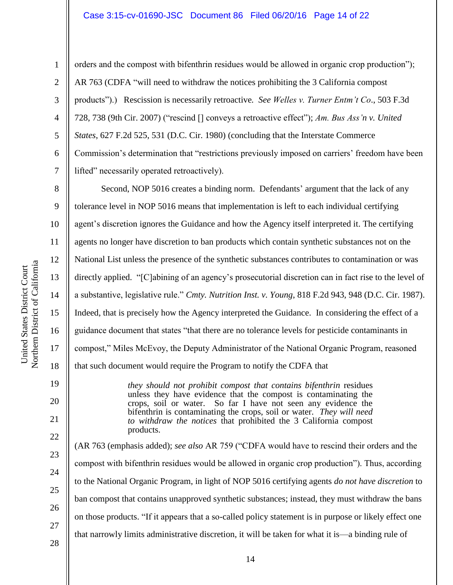#### Case 3:15-cv-01690-JSC Document 86 Filed 06/20/16 Page 14 of 22

2 3

4

5

6

7

8

9

10

11

12

13

14

15

16

17

18

19

20

21

22

23

24

25

26

27

28

1

orders and the compost with bifenthrin residues would be allowed in organic crop production"); AR 763 (CDFA "will need to withdraw the notices prohibiting the 3 California compost products").) Rescission is necessarily retroactive*. See Welles v. Turner Entm't Co*., 503 F.3d 728, 738 (9th Cir. 2007) ("rescind [] conveys a retroactive effect"); *Am. Bus Ass'n v. United States*, 627 F.2d 525, 531 (D.C. Cir. 1980) (concluding that the Interstate Commerce Commission's determination that "restrictions previously imposed on carriers' freedom have been lifted" necessarily operated retroactively).

Second, NOP 5016 creates a binding norm. Defendants' argument that the lack of any tolerance level in NOP 5016 means that implementation is left to each individual certifying agent's discretion ignores the Guidance and how the Agency itself interpreted it. The certifying agents no longer have discretion to ban products which contain synthetic substances not on the National List unless the presence of the synthetic substances contributes to contamination or was directly applied. "[C]abining of an agency's prosecutorial discretion can in fact rise to the level of a substantive, legislative rule." *Cmty. Nutrition Inst. v. Young*, 818 F.2d 943, 948 (D.C. Cir. 1987). Indeed, that is precisely how the Agency interpreted the Guidance. In considering the effect of a guidance document that states "that there are no tolerance levels for pesticide contaminants in compost," Miles McEvoy, the Deputy Administrator of the National Organic Program, reasoned that such document would require the Program to notify the CDFA that

> *they should not prohibit compost that contains bifenthrin* residues unless they have evidence that the compost is contaminating the crops, soil or water. So far I have not seen any evidence the bifenthrin is contaminating the crops, soil or water. *They will need to withdraw the notices* that prohibited the 3 California compost products.

(AR 763 (emphasis added); *see also* AR 759 ("CDFA would have to rescind their orders and the compost with bifenthrin residues would be allowed in organic crop production"). Thus, according to the National Organic Program, in light of NOP 5016 certifying agents *do not have discretion* to ban compost that contains unapproved synthetic substances; instead, they must withdraw the bans on those products. "If it appears that a so-called policy statement is in purpose or likely effect one that narrowly limits administrative discretion, it will be taken for what it is—a binding rule of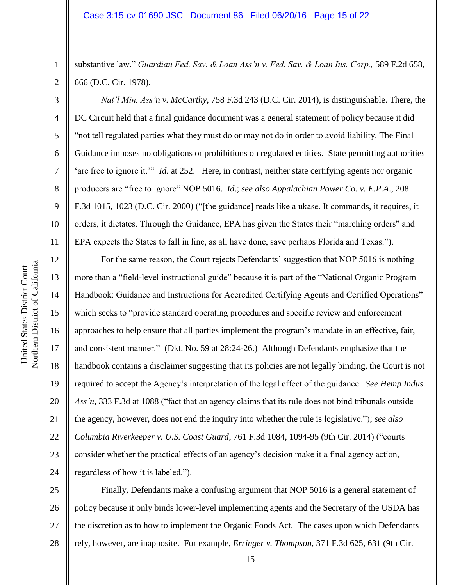substantive law." *Guardian Fed. Sav. & Loan Ass'n v. Fed. Sav. & Loan Ins. Corp.,* 589 F.2d 658, 666 (D.C. Cir. 1978).

*Nat'l Min. Ass'n v. McCarthy*, 758 F.3d 243 (D.C. Cir. 2014), is distinguishable. There, the DC Circuit held that a final guidance document was a general statement of policy because it did "not tell regulated parties what they must do or may not do in order to avoid liability. The Final Guidance imposes no obligations or prohibitions on regulated entities. State permitting authorities 'are free to ignore it.'" *Id*. at 252. Here, in contrast, neither state certifying agents nor organic producers are "free to ignore" NOP 5016. *Id*.; *see also Appalachian Power Co. v. E.P.A*., 208 F.3d 1015, 1023 (D.C. Cir. 2000) ("[the guidance] reads like a ukase. It commands, it requires, it orders, it dictates. Through the Guidance, EPA has given the States their "marching orders" and EPA expects the States to fall in line, as all have done, save perhaps Florida and Texas.").

12 16 20 21 22 23 24 For the same reason, the Court rejects Defendants' suggestion that NOP 5016 is nothing more than a "field-level instructional guide" because it is part of the "National Organic Program Handbook: Guidance and Instructions for Accredited Certifying Agents and Certified Operations" which seeks to "provide standard operating procedures and specific review and enforcement approaches to help ensure that all parties implement the program's mandate in an effective, fair, and consistent manner." (Dkt. No. 59 at 28:24-26.) Although Defendants emphasize that the handbook contains a disclaimer suggesting that its policies are not legally binding, the Court is not required to accept the Agency's interpretation of the legal effect of the guidance. *See Hemp Indus. Ass'n*, 333 F.3d at 1088 ("fact that an agency claims that its rule does not bind tribunals outside the agency, however, does not end the inquiry into whether the rule is legislative."); *see also Columbia Riverkeeper v. U.S. Coast Guard*, 761 F.3d 1084, 1094-95 (9th Cir. 2014) ("courts consider whether the practical effects of an agency's decision make it a final agency action, regardless of how it is labeled.").

25 26 27 28 Finally, Defendants make a confusing argument that NOP 5016 is a general statement of policy because it only binds lower-level implementing agents and the Secretary of the USDA has the discretion as to how to implement the Organic Foods Act. The cases upon which Defendants rely, however, are inapposite. For example, *Erringer v. Thompson*, 371 F.3d 625, 631 (9th Cir.

1

2

3

4

5

6

7

8

9

10

11

13

14

15

17

18

19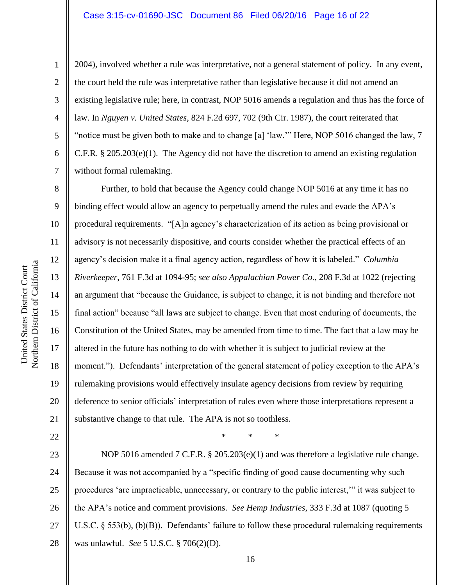1

2

3

4

5

6

7

8

9

10

11

12

13

14

15

16

17

18

19

20

21

2004), involved whether a rule was interpretative, not a general statement of policy. In any event, the court held the rule was interpretative rather than legislative because it did not amend an existing legislative rule; here, in contrast, NOP 5016 amends a regulation and thus has the force of law. In *Nguyen v. United States*, 824 F.2d 697, 702 (9th Cir. 1987), the court reiterated that "notice must be given both to make and to change [a] 'law.'" Here, NOP 5016 changed the law, 7 C.F.R. § 205.203(e)(1). The Agency did not have the discretion to amend an existing regulation without formal rulemaking.

Further, to hold that because the Agency could change NOP 5016 at any time it has no binding effect would allow an agency to perpetually amend the rules and evade the APA's procedural requirements. "[A]n agency's characterization of its action as being provisional or advisory is not necessarily dispositive, and courts consider whether the practical effects of an agency's decision make it a final agency action, regardless of how it is labeled." *Columbia Riverkeeper*, 761 F.3d at 1094-95; *see also Appalachian Power Co.*, 208 F.3d at 1022 (rejecting an argument that "because the Guidance, is subject to change, it is not binding and therefore not final action" because "all laws are subject to change. Even that most enduring of documents, the Constitution of the United States, may be amended from time to time. The fact that a law may be altered in the future has nothing to do with whether it is subject to judicial review at the moment."). Defendants' interpretation of the general statement of policy exception to the APA's rulemaking provisions would effectively insulate agency decisions from review by requiring deference to senior officials' interpretation of rules even where those interpretations represent a substantive change to that rule. The APA is not so toothless.

22

\* \* \*

23 24 25 26 27 28 NOP 5016 amended 7 C.F.R. § 205.203(e)(1) and was therefore a legislative rule change. Because it was not accompanied by a "specific finding of good cause documenting why such procedures 'are impracticable, unnecessary, or contrary to the public interest,'" it was subject to the APA's notice and comment provisions. *See Hemp Industries*, 333 F.3d at 1087 (quoting 5 U.S.C. § 553(b), (b)(B)). Defendants' failure to follow these procedural rulemaking requirements was unlawful. *See* 5 U.S.C. § 706(2)(D).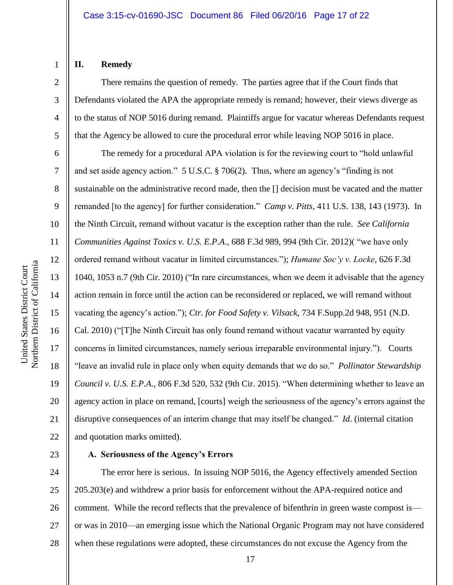# Northern District of California Northern District of California United States District Court United States District Court

#### **II. Remedy**

1

2

3

4

5

There remains the question of remedy. The parties agree that if the Court finds that Defendants violated the APA the appropriate remedy is remand; however, their views diverge as to the status of NOP 5016 during remand. Plaintiffs argue for vacatur whereas Defendants request that the Agency be allowed to cure the procedural error while leaving NOP 5016 in place.

6 7 8 9 10 11 12 13 14 15 16 17 18 19 20 21 22 The remedy for a procedural APA violation is for the reviewing court to "hold unlawful and set aside agency action." 5 U.S.C. § 706(2). Thus, where an agency's "finding is not sustainable on the administrative record made, then the [] decision must be vacated and the matter remanded [to the agency] for further consideration." *Camp v. Pitts*, 411 U.S. 138, 143 (1973). In the Ninth Circuit, remand without vacatur is the exception rather than the rule. *See California Communities Against Toxics v. U.S. E.P.A*., 688 F.3d 989, 994 (9th Cir. 2012)( "we have only ordered remand without vacatur in limited circumstances."); *Humane Soc'y v. Locke*, 626 F.3d 1040, 1053 n.7 (9th Cir. 2010) ("In rare circumstances, when we deem it advisable that the agency action remain in force until the action can be reconsidered or replaced, we will remand without vacating the agency's action."); *Ctr. for Food Safety v. Vilsack*, 734 F.Supp.2d 948, 951 (N.D. Cal. 2010) ("[T]he Ninth Circuit has only found remand without vacatur warranted by equity concerns in limited circumstances, namely serious irreparable environmental injury."). Courts "leave an invalid rule in place only when equity demands that we do so." *Pollinator Stewardship Council v. U.S. E.P.A*., 806 F.3d 520, 532 (9th Cir. 2015). "When determining whether to leave an agency action in place on remand, [courts] weigh the seriousness of the agency's errors against the disruptive consequences of an interim change that may itself be changed." *Id*. (internal citation and quotation marks omitted).

#### 23

#### **A. Seriousness of the Agency's Errors**

24 25 26 27 28 The error here is serious. In issuing NOP 5016, the Agency effectively amended Section 205.203(e) and withdrew a prior basis for enforcement without the APA-required notice and comment. While the record reflects that the prevalence of bifenthrin in green waste compost is or was in 2010—an emerging issue which the National Organic Program may not have considered when these regulations were adopted, these circumstances do not excuse the Agency from the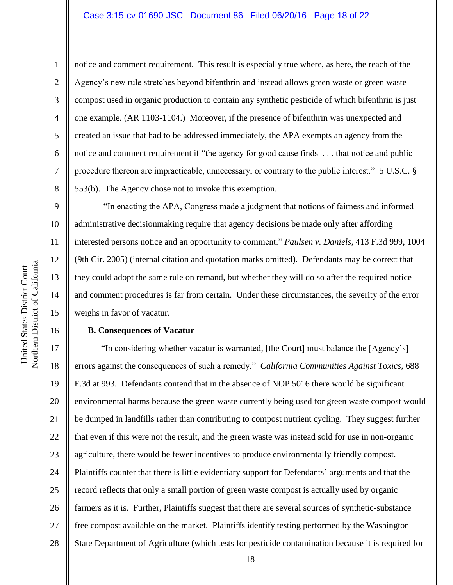#### Case 3:15-cv-01690-JSC Document 86 Filed 06/20/16 Page 18 of 22

notice and comment requirement. This result is especially true where, as here, the reach of the Agency's new rule stretches beyond bifenthrin and instead allows green waste or green waste compost used in organic production to contain any synthetic pesticide of which bifenthrin is just one example. (AR 1103-1104.) Moreover, if the presence of bifenthrin was unexpected and created an issue that had to be addressed immediately, the APA exempts an agency from the notice and comment requirement if "the agency for good cause finds . . . that notice and public procedure thereon are impracticable, unnecessary, or contrary to the public interest." 5 U.S.C. § 553(b). The Agency chose not to invoke this exemption.

"In enacting the APA, Congress made a judgment that notions of fairness and informed administrative decisionmaking require that agency decisions be made only after affording interested persons notice and an opportunity to comment." *Paulsen v. Daniels*, 413 F.3d 999, 1004 (9th Cir. 2005) (internal citation and quotation marks omitted). Defendants may be correct that they could adopt the same rule on remand, but whether they will do so after the required notice and comment procedures is far from certain. Under these circumstances, the severity of the error weighs in favor of vacatur.

#### **B. Consequences of Vacatur**

17 18 19 20 21 22 23 24 25 26 27 28 "In considering whether vacatur is warranted, [the Court] must balance the [Agency's] errors against the consequences of such a remedy." *California Communities Against Toxics*, 688 F.3d at 993. Defendants contend that in the absence of NOP 5016 there would be significant environmental harms because the green waste currently being used for green waste compost would be dumped in landfills rather than contributing to compost nutrient cycling. They suggest further that even if this were not the result, and the green waste was instead sold for use in non-organic agriculture, there would be fewer incentives to produce environmentally friendly compost. Plaintiffs counter that there is little evidentiary support for Defendants' arguments and that the record reflects that only a small portion of green waste compost is actually used by organic farmers as it is. Further, Plaintiffs suggest that there are several sources of synthetic-substance free compost available on the market. Plaintiffs identify testing performed by the Washington State Department of Agriculture (which tests for pesticide contamination because it is required for

1

2

3

4

5

6

7

8

9

10

11

12

13

14

15

16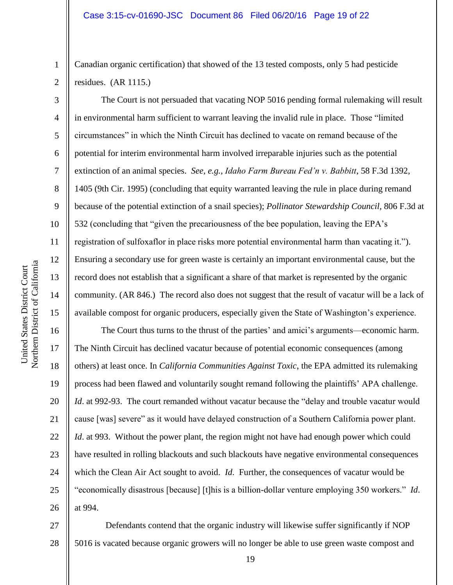Canadian organic certification) that showed of the 13 tested composts, only 5 had pesticide residues. (AR 1115.)

The Court is not persuaded that vacating NOP 5016 pending formal rulemaking will result in environmental harm sufficient to warrant leaving the invalid rule in place. Those "limited circumstances" in which the Ninth Circuit has declined to vacate on remand because of the potential for interim environmental harm involved irreparable injuries such as the potential extinction of an animal species. *See, e.g., Idaho Farm Bureau Fed'n v. Babbitt*, 58 F.3d 1392, 1405 (9th Cir. 1995) (concluding that equity warranted leaving the rule in place during remand because of the potential extinction of a snail species); *Pollinator Stewardship Council*, 806 F.3d at 532 (concluding that "given the precariousness of the bee population, leaving the EPA's registration of sulfoxaflor in place risks more potential environmental harm than vacating it."). Ensuring a secondary use for green waste is certainly an important environmental cause, but the record does not establish that a significant a share of that market is represented by the organic community. (AR 846.) The record also does not suggest that the result of vacatur will be a lack of available compost for organic producers, especially given the State of Washington's experience.

16 17 18 19 20 21 22 23 24 25 26 The Court thus turns to the thrust of the parties' and amici's arguments—economic harm. The Ninth Circuit has declined vacatur because of potential economic consequences (among others) at least once. In *California Communities Against Toxic*, the EPA admitted its rulemaking process had been flawed and voluntarily sought remand following the plaintiffs' APA challenge. *Id.* at 992-93. The court remanded without vacatur because the "delay and trouble vacatur would cause [was] severe" as it would have delayed construction of a Southern California power plant. *Id.* at 993. Without the power plant, the region might not have had enough power which could have resulted in rolling blackouts and such blackouts have negative environmental consequences which the Clean Air Act sought to avoid. *Id*. Further, the consequences of vacatur would be "economically disastrous [because] [t]his is a billion-dollar venture employing 350 workers." *Id*. at 994.

27 28 Defendants contend that the organic industry will likewise suffer significantly if NOP 5016 is vacated because organic growers will no longer be able to use green waste compost and

1

2

3

4

5

6

7

8

9

10

11

12

13

14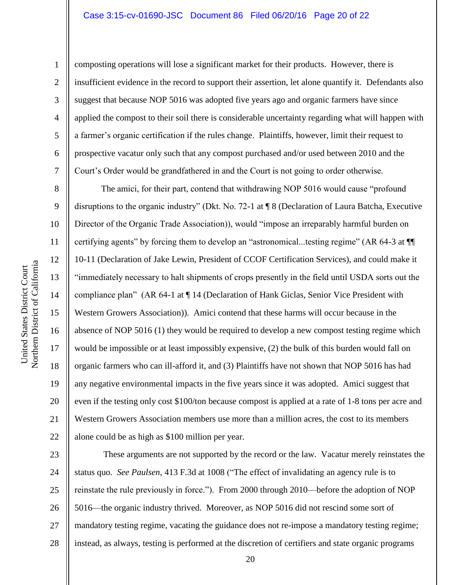#### Case 3:15-cv-01690-JSC Document 86 Filed 06/20/16 Page 20 of 22

1

2

3

4

5

6

8

15

16

17

18

19

20

21

22

composting operations will lose a significant market for their products. However, there is insufficient evidence in the record to support their assertion, let alone quantify it. Defendants also suggest that because NOP 5016 was adopted five years ago and organic farmers have since applied the compost to their soil there is considerable uncertainty regarding what will happen with a farmer's organic certification if the rules change. Plaintiffs, however, limit their request to prospective vacatur only such that any compost purchased and/or used between 2010 and the Court's Order would be grandfathered in and the Court is not going to order otherwise.

The amici, for their part, contend that withdrawing NOP 5016 would cause "profound disruptions to the organic industry" (Dkt. No. 72-1 at ¶ 8 (Declaration of Laura Batcha, Executive Director of the Organic Trade Association)), would "impose an irreparably harmful burden on certifying agents" by forcing them to develop an "astronomical...testing regime" (AR 64-3 at ¶¶ 10-11 (Declaration of Jake Lewin, President of CCOF Certification Services), and could make it "immediately necessary to halt shipments of crops presently in the field until USDA sorts out the compliance plan" (AR 64-1 at ¶ 14 (Declaration of Hank Giclas, Senior Vice President with Western Growers Association)). Amici contend that these harms will occur because in the absence of NOP 5016 (1) they would be required to develop a new compost testing regime which would be impossible or at least impossibly expensive, (2) the bulk of this burden would fall on organic farmers who can ill-afford it, and (3) Plaintiffs have not shown that NOP 5016 has had any negative environmental impacts in the five years since it was adopted. Amici suggest that even if the testing only cost \$100/ton because compost is applied at a rate of 1-8 tons per acre and Western Growers Association members use more than a million acres, the cost to its members alone could be as high as \$100 million per year.

23 24 25 26 27 28 These arguments are not supported by the record or the law. Vacatur merely reinstates the status quo. *See Paulsen*, 413 F.3d at 1008 ("The effect of invalidating an agency rule is to reinstate the rule previously in force."). From 2000 through 2010—before the adoption of NOP 5016—the organic industry thrived. Moreover, as NOP 5016 did not rescind some sort of mandatory testing regime, vacating the guidance does not re-impose a mandatory testing regime; instead, as always, testing is performed at the discretion of certifiers and state organic programs

Northern District of California Northern District of California United States District Court United States District Court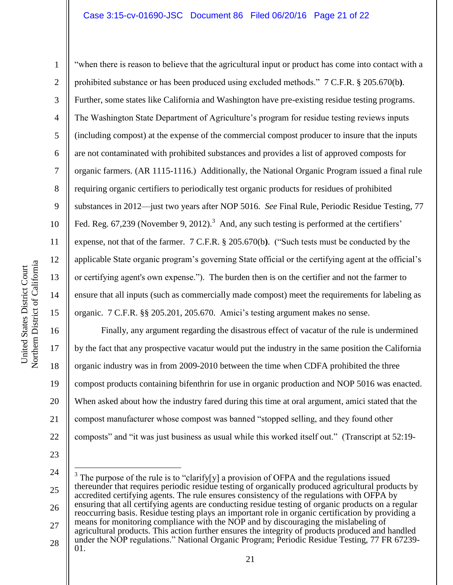#### Case 3:15-cv-01690-JSC Document 86 Filed 06/20/16 Page 21 of 22

Northern District of California Northern District of California United States District Court United States District Court

1

2

3

4

5

7

8

9

11

12

13

14

15

16

17

18

19

20

21

22

6 10 "when there is reason to believe that the agricultural input or product has come into contact with a prohibited substance or has been produced using excluded methods." 7 C.F.R. § 205.670(b**)**. Further, some states like California and Washington have pre-existing residue testing programs. The Washington State Department of Agriculture's program for residue testing reviews inputs (including compost) at the expense of the commercial compost producer to insure that the inputs are not contaminated with prohibited substances and provides a list of approved composts for organic farmers. (AR 1115-1116.) Additionally, the National Organic Program issued a final rule requiring organic certifiers to periodically test organic products for residues of prohibited substances in 2012—just two years after NOP 5016. *See* Final Rule, Periodic Residue Testing, 77 Fed. Reg. 67,239 (November 9, 2012).<sup>3</sup> And, any such testing is performed at the certifiers' expense, not that of the farmer. 7 C.F.R. § 205.670(b**)**. ("Such tests must be conducted by the applicable State organic program's governing State official or the certifying agent at the official's or certifying agent's own expense."). The burden then is on the certifier and not the farmer to ensure that all inputs (such as commercially made compost) meet the requirements for labeling as organic. 7 C.F.R. §§ 205.201, 205.670. Amici's testing argument makes no sense.

Finally, any argument regarding the disastrous effect of vacatur of the rule is undermined by the fact that any prospective vacatur would put the industry in the same position the California organic industry was in from 2009-2010 between the time when CDFA prohibited the three compost products containing bifenthrin for use in organic production and NOP 5016 was enacted. When asked about how the industry fared during this time at oral argument, amici stated that the compost manufacturer whose compost was banned "stopped selling, and they found other composts" and "it was just business as usual while this worked itself out." (Transcript at 52:19-

23

 $\overline{a}$ 

24

<sup>25</sup> 26 27 28 <sup>3</sup> The purpose of the rule is to "clarify[y] a provision of OFPA and the regulations issued thereunder that requires periodic residue testing of organically produced agricultural products by accredited certifying agents. The rule ensures consistency of the regulations with OFPA by ensuring that all certifying agents are conducting residue testing of organic products on a regular reoccurring basis. Residue testing plays an important role in organic certification by providing a means for monitoring compliance with the NOP and by discouraging the mislabeling of agricultural products. This action further ensures the integrity of products produced and handled under the NOP regulations." National Organic Program; Periodic Residue Testing, 77 FR 67239- 01.